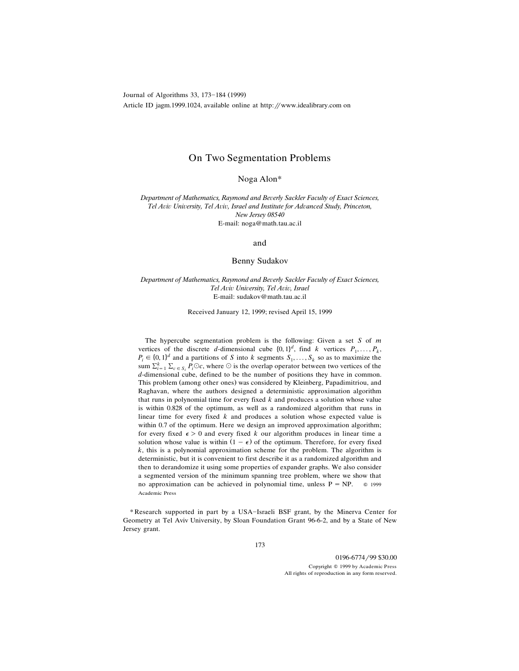Journal of Algorithms 33, 173-184 (1999) Article ID jagm.1999.1024, available online at http://www.idealibrary.com on

# On Two Segmentation Problems

Noga Alon\*

*Department* of *Mathematics, Raymond and Beverly Sackler Faculty of Exact Sciences, Tel A*¨*i*¨ *Uni*¨*ersity, Tel A*¨*i*¨*, Israel and Institute for Ad*¨*anced Study, Princeton, New Jersey 08540* E-mail: noga@math.tau.ac.il

and

## Benny Sudakov

*Department* of *Mathematics, Raymond and Beverly Sackler Faculty of Exact Sciences, Tel A*¨*i*¨ *Uni*¨*ersity, Tel A*¨*i*¨*, Israel* E-mail: sudakov@math.tau.ac.il

Received January 12, 1999; revised April 15, 1999

The hypercube segmentation problem is the following: Given a set *S* of *m* vertices of the discrete *d*-dimensional cube  $\{0, 1\}^d$ , find *k* vertices  $P_1, \ldots, P_k$ ,  $P_i \in \{0, 1\}^d$  and a partitions of *S* into *k* segments  $S_1, \ldots, S_k$  so as to maximize the sum  $\sum_{i=1}^{k} \sum_{c \in S_i} P_i \odot c$ , where  $\odot$  is the overlap operator between two vertices of the *d*-dimensional cube, defined to be the number of positions they have in common. This problem (among other ones) was considered by Kleinberg, Papadimitriou, and Raghavan, where the authors designed a deterministic approximation algorithm that runs in polynomial time for every fixed *k* and produces a solution whose value is within 0.828 of the optimum, as well as a randomized algorithm that runs in linear time for every fixed *k* and produces a solution whose expected value is within 0.7 of the optimum. Here we design an improved approximation algorithm; for every fixed  $\epsilon > 0$  and every fixed *k* our algorithm produces in linear time a solution whose value is within  $(1 - \epsilon)$  of the optimum. Therefore, for every fixed *k*, this is a polynomial approximation scheme for the problem. The algorithm is deterministic, but it is convenient to first describe it as a randomized algorithm and then to derandomize it using some properties of expander graphs. We also consider a segmented version of the minimum spanning tree problem, where we show that no approximation can be achieved in polynomial time, unless  $P = NP$ .  $\otimes$  1999 Academic Press

\*Research supported in part by a USA-Israeli BSF grant, by the Minerva Center for Geometry at Tel Aviv University, by Sloan Foundation Grant 96-6-2, and by a State of New Jersey grant.

0196-6774/99 \$30.00 Copyright Q 1999 by Academic Press All rights of reproduction in any form reserved.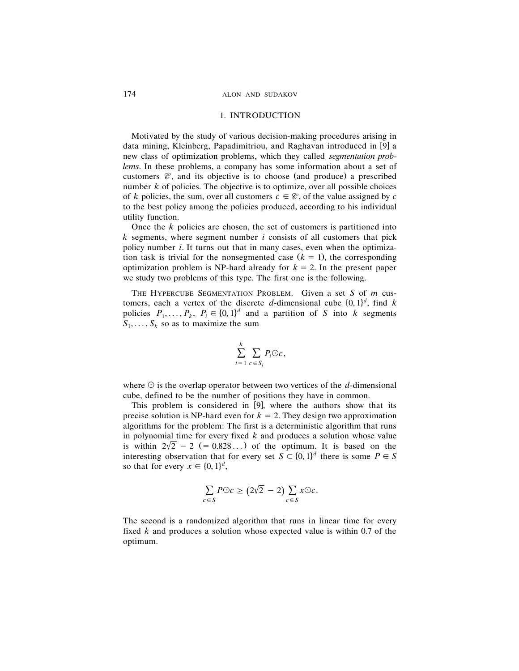#### 174 ALON AND SUDAKOV

### 1. INTRODUCTION

Motivated by the study of various decision-making procedures arising in data mining, Kleinberg, Papadimitriou, and Raghavan introduced in [9] a new class of optimization problems, which they called *segmentation problems*. In these problems, a company has some information about a set of customers  $\mathcal{C}$ , and its objective is to choose (and produce) a prescribed number  $k$  of policies. The objective is to optimize, over all possible choices of *k* policies, the sum, over all customers  $c \in \mathcal{C}$ , of the value assigned by *c* to the best policy among the policies produced, according to his individual utility function.

Once the *k* policies are chosen, the set of customers is partitioned into *k* segments, where segment number *i* consists of all customers that pick policy number *i*. It turns out that in many cases, even when the optimization task is trivial for the nonsegmented case  $(k = 1)$ , the corresponding optimization problem is NP-hard already for  $k = 2$ . In the present paper we study two problems of this type. The first one is the following.

THE HYPERCUBE SEGMENTATION PROBLEM. Given a set *S* of *m* cus tomers, each a vertex of the discrete *d*-dimensional cube  $\{0, 1\}^d$ , find *k* policies  $P_1, \ldots, P_k, P_i \in \{0, 1\}^d$  and a partition of *S* into *k* segments  $S_1, \ldots, S_k$  so as to maximize the sum

$$
\sum_{i=1}^k \sum_{c \in S_i} P_i \odot c,
$$

where  $\odot$  is the overlap operator between two vertices of the *d*-dimensional cube, defined to be the number of positions they have in common.

This problem is considered in  $[9]$ , where the authors show that its precise solution is NP-hard even for  $k = 2$ . They design two approximation algorithms for the problem: The first is a deterministic algorithm that runs in polynomial time for every fixed *k* and produces a solution whose value is within  $2\sqrt{2} - 2$  (= 0.828...) of the optimum. It is based on the interesting observation that for every set  $S \subset \{0, 1\}^d$  there is some  $P \in S$ so that for every  $x \in \{0, 1\}^d$ ,

$$
\sum_{c \in S} P \odot c \ge (2\sqrt{2} - 2) \sum_{c \in S} x \odot c.
$$

The second is a randomized algorithm that runs in linear time for every fixed *k* and produces a solution whose expected value is within 0.7 of the optimum.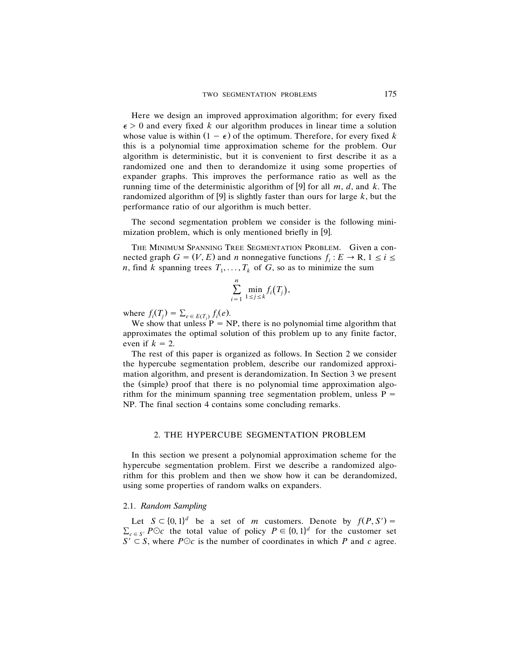Here we design an improved approximation algorithm; for every fixed  $\epsilon > 0$  and every fixed *k* our algorithm produces in linear time a solution whose value is within  $(1 - \epsilon)$  of the optimum. Therefore, for every fixed k this is a polynomial time approximation scheme for the problem. Our algorithm is deterministic, but it is convenient to first describe it as a randomized one and then to derandomize it using some properties of expander graphs. This improves the performance ratio as well as the running time of the deterministic algorithm of [9] for all  $m$ ,  $d$ , and  $k$ . The randomized algorithm of [9] is slightly faster than ours for large  $k$ , but the performance ratio of our algorithm is much better.

The second segmentation problem we consider is the following minimization problem, which is only mentioned briefly in [9].

THE MINIMUM SPANNING TREE SEGMENTATION PROBLEM. Given a connected graph  $G = (V, E)$  and *n* nonnegative functions  $f_i : E \to \mathbb{R}, 1 \le i \le n$ *n*, find *k* spanning trees  $T_1, \ldots, T_k$  of *G*, so as to minimize the sum

$$
\sum_{i=1}^n \min_{1 \le j \le k} f_i(T_j),
$$

where  $f_i(T_j) = \sum_{e \in E(T_j)} f_i(e)$ .

We show that unless  $P = NP$ , there is no polynomial time algorithm that approximates the optimal solution of this problem up to any finite factor, even if  $k = 2$ .

The rest of this paper is organized as follows. In Section 2 we consider the hypercube segmentation problem, describe our randomized approximation algorithm, and present is derandomization. In Section 3 we present the (simple) proof that there is no polynomial time approximation algorithm for the minimum spanning tree segmentation problem, unless  $P =$ NP. The final section 4 contains some concluding remarks.

## 2. THE HYPERCUBE SEGMENTATION PROBLEM

In this section we present a polynomial approximation scheme for the hypercube segmentation problem. First we describe a randomized algorithm for this problem and then we show how it can be derandomized, using some properties of random walks on expanders.

## 2.1. *Random Sampling*

Let  $S \subset \{0, 1\}^d$  be a set of *m* customers. Denote by  $f(P, S') =$  $\sum_{c \in S'} P \odot c$  the total value of policy  $P \in \{0, 1\}^d$  for the customer set  $S' \subset S$ , where  $P \odot c$  is the number of coordinates in which *P* and *c* agree.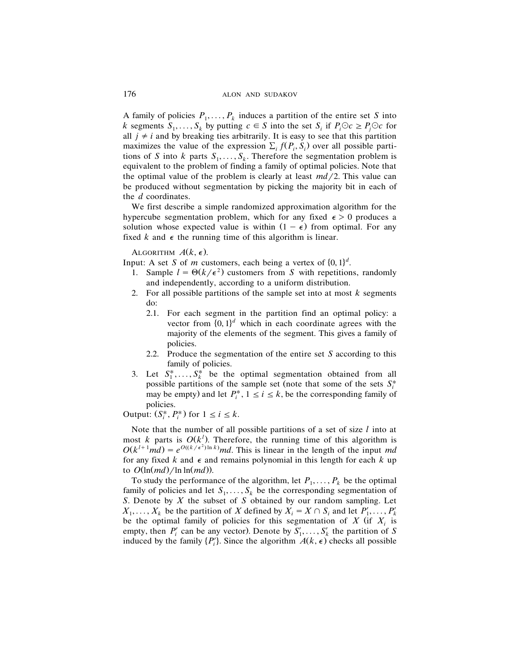A family of policies  $P_1, \ldots, P_k$  induces a partition of the entire set *S* into *k* segments  $S_1, \ldots, S_k$  by putting  $c \in S$  into the set  $S_i$  if  $P_i \odot c \geq P_i \odot c$  for all  $j \neq i$  and by breaking ties arbitrarily. It is easy to see that this partition maximizes the value of the expression  $\Sigma_i f(P_i, S_i)$  over all possible partitions of *S* into *k* parts  $S_1, \ldots, S_k$ . Therefore the segmentation problem is equivalent to the problem of finding a family of optimal policies. Note that the optimal value of the problem is clearly at least  $md/2$ . This value can be produced without segmentation by picking the majority bit in each of the *d* coordinates.

We first describe a simple randomized approximation algorithm for the hypercube segmentation problem, which for any fixed  $\epsilon > 0$  produces a solution whose expected value is within  $(1 - \epsilon)$  from optimal. For any fixed  $k$  and  $\epsilon$  the running time of this algorithm is linear.

ALGORITHM  $A(k, \epsilon)$ .

Input: A set *S* of *m* customers, each being a vertex of  $\{0, 1\}^d$ .

- 1. Sample  $l = \Theta(k/\epsilon^2)$  customers from *S* with repetitions, randomly and independently, according to a uniform distribution.
- 2. For all possible partitions of the sample set into at most *k* segments do:
	- 2.1. For each segment in the partition find an optimal policy: a vector from  $\{0, 1\}^d$  which in each coordinate agrees with the majority of the elements of the segment. This gives a family of policies.
	- 2.2. Produce the segmentation of the entire set *S* according to this family of policies.
- 3. Let  $S_1^*, \ldots, S_k^*$  be the optimal segmentation obtained from all possible partitions of the sample set (note that some of the sets  $S_i^*$ may be empty) and let  $P_i^*$ ,  $1 \le i \le k$ , be the corresponding family of policies.

Output:  $(S_i^*, P_i^*)$  for  $1 \le i \le k$ .

Note that the number of all possible partitions of a set of size *l* into at most *k* parts is  $O(k^{l})$ . Therefore, the running time of this algorithm is  $O(k^{l+1}md) = e^{O((k/\epsilon^2)\ln k)}md$ . This is linear in the length of the input *md* for any fixed  $k$  and  $\epsilon$  and remains polynomial in this length for each  $k$  up to  $O(\ln(md)/\ln \ln(md)$ .

To study the performance of the algorithm, let  $P_1, \ldots, P_k$  be the optimal family of policies and let  $S_1, \ldots, S_k$  be the corresponding segmentation of *S*. Denote by *X* the subset of *S* obtained by our random sampling. Let  $X_1, \ldots, X_k$  be the partition of *X* defined by  $X_i = X \cap S_i$  and let  $P'_1, \ldots, P'_k$ be the optimal family of policies for this segmentation of  $X$  (if  $X_i$  is empty, then  $P'_i$  can be any vector). Denote by  $S'_1, \ldots, S'_k$  the partition of *S* induced by the family  $\{P_i'\}$ . Since the algorithm  $A(k, \epsilon)$  checks all possible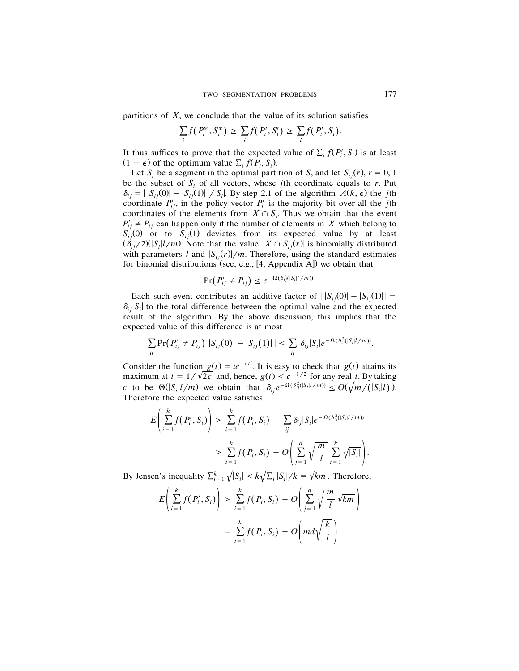partitions of  $X$ , we conclude that the value of its solution satisfies

$$
\sum_i f(P_i^*, S_i^*) \geq \sum_i f(P_i', S_i') \geq \sum_i f(P_i', S_i).
$$

It thus suffices to prove that the expected value of  $\sum_i f(P'_i, S_i)$  is at least  $(1 - \epsilon)$  of the optimum value  $\Sigma_i f(P_i, S_i)$ .

Let  $S_i$  be a segment in the optimal partition of *S*, and let  $S_{i}(r)$ ,  $r = 0, 1$ be the subset of  $S_i$  of all vectors, whose *j*th coordinate equals to *r*. Put  $\delta_{ij} = |S_{ij}(0)| - |S_{ij}(1)||/|S_i|$ . By step 2.1 of the algorithm  $A(k, \epsilon)$  the *j*th coordinate  $P'_{ij}$ , in the policy vector  $P'_i$  is the majority bit over all the *j*th coordinates of the elements from  $X \cap S_i$ . Thus we obtain that the event  $P'_{ij} \neq P_{ij}$  can happen only if the number of elements in *X* which belong to  $S_{ij}(0)$  or to  $S_{ij}(1)$  deviates from its expected value by at least  $(\delta_{ij}/2)(|S_i|/m)$ . Note that the value  $|X \cap S_{ij}(r)|$  is binomially distributed with parameters *l* and  $|S_{ij}(r)|/m$ . Therefore, using the standard estimates for binomial distributions (see, e.g.,  $[4,$  Appendix A]) we obtain that

$$
\Pr(P'_{ij} \neq P_{ij}) \leq e^{-\Omega(\delta_{ij}^2(|S_i| l/m))}.
$$

Each such event contributes an additive factor of  $||S_{ii}(0)| - |S_{ii}(1)||$  =  $\delta_{ij}$  *S<sub>i</sub>* is to the total difference between the optimal value and the expected result of the algorithm. By the above discussion, this implies that the expected value of this difference is at most

$$
\sum_{ij} \Pr\big(P'_{ij} \neq P_{ij}\big) \big|\, |S_{ij}(0)| - |S_{ij}(1)| \big| \leq \sum_{ij} \delta_{ij} |S_i| e^{-\Omega(\delta_{ij}^2(|S_i| l/m))}.
$$

Consider the function  $g(t) = te^{-ct^2}$ . It is easy to check that  $g(t)$  attains its maximum at  $t = 1/\sqrt{2c}$  and, hence,  $g(t) \leq c^{-1/2}$  for any real *t*. By taking *c* to be  $\Theta(|S_i| \mathcal{V}/m)$  we obtain that  $\delta_{ij} e^{-\Omega(\delta_{ij}^2(|S_i| \mathcal{V}/m))} \leq O(\sqrt{m/(|S_i| l)})$ . Therefore the expected value satisfies

$$
E\left(\sum_{i=1}^k f(P'_i, S_i)\right) \geq \sum_{i=1}^k f(P_i, S_i) - \sum_{ij} \delta_{ij} |S_i| e^{-\Omega(\delta_{ij}^2(|S_i|l/m))}
$$
  

$$
\geq \sum_{i=1}^k f(P_i, S_i) - O\left(\sum_{j=1}^d \sqrt{\frac{m}{l}} \sum_{i=1}^k \sqrt{|S_i|}\right).
$$

By Jensen's inequality  $\sum_{i=1}^{k} \sqrt{|S_i|} \le k \sqrt{\sum_i |S_i|/k} = \sqrt{km}$ . Therefore,

$$
E\left(\sum_{i=1}^{k} f(P'_i, S_i)\right) \geq \sum_{i=1}^{k} f(P_i, S_i) - O\left(\sum_{j=1}^{d} \sqrt{\frac{m}{l}} \sqrt{km}\right)
$$
  
= 
$$
\sum_{i=1}^{k} f(P_i, S_i) - O\left(m d \sqrt{\frac{k}{l}}\right).
$$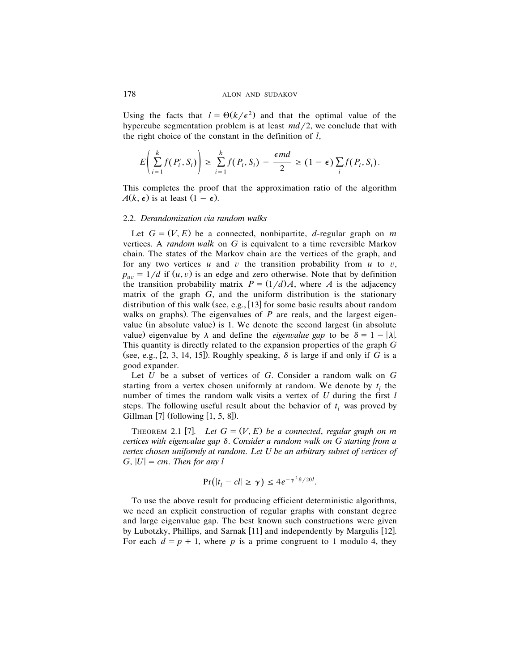Using the facts that  $l = \Theta(k/\epsilon^2)$  and that the optimal value of the hypercube segmentation problem is at least  $md/2$ , we conclude that with the right choice of the constant in the definition of *l*,

$$
E\left(\sum_{i=1}^k f(P'_i, S_i)\right) \geq \sum_{i=1}^k f(P_i, S_i) - \frac{\epsilon md}{2} \geq (1-\epsilon) \sum_i f(P_i, S_i).
$$

This completes the proof that the approximation ratio of the algorithm  $A(k, \epsilon)$  is at least  $(1 - \epsilon)$ .

#### 2.2. *Derandomization* ¨*ia random walks*

Let  $G = (V, E)$  be a connected, nonbipartite, *d*-regular graph on *m* vertices. A *random walk* on *G* is equivalent to a time reversible Markov chain. The states of the Markov chain are the vertices of the graph, and for any two vertices  $u$  and  $v$  the transition probability from  $u$  to  $v$ ,  $p_{uv} = 1/d$  if  $(u, v)$  is an edge and zero otherwise. Note that by definition the transition probability matrix  $P = (1/d)A$ , where *A* is the adjacency matrix of the graph *G*, and the uniform distribution is the stationary distribution of this walk (see, e.g.,  $[13]$  for some basic results about random walks on graphs). The eigenvalues of  $P$  are reals, and the largest eigenvalue (in absolute value) is 1. We denote the second largest (in absolute value) eigenvalue by  $\lambda$  and define the *eigenvalue gap* to be  $\delta = 1 - |\lambda|$ . This quantity is directly related to the expansion properties of the graph *G* (see, e.g., [2, 3, 14, 15]). Roughly speaking,  $\delta$  is large if and only if *G* is a good expander.

Let *U* be a subset of vertices of *G*. Consider a random walk on *G* starting from a vertex chosen uniformly at random. We denote by  $t_i$  the number of times the random walk visits a vertex of *U* during the first *l* steps. The following useful result about the behavior of  $t_l$  was proved by Gillman  $[7]$  (following  $[1, 5, 8]$ ).

THEOREM 2.1 [7]. Let  $G = (V, E)$  be a connected, regular graph on m ¨*ertices with eigen*¨*alue gap* <sup>d</sup>. *Consider a random walk on G starting from a rertex chosen uniformly at random. Let U be an arbitrary subset of vertices of*  $G$ ,  $|U| = cm$ . *Then for any l* 

$$
Pr(|t_l - c l| \ge \gamma) \le 4e^{-\gamma^2 \delta/20l}.
$$

To use the above result for producing efficient deterministic algorithms, we need an explicit construction of regular graphs with constant degree and large eigenvalue gap. The best known such constructions were given by Lubotzky, Phillips, and Sarnak [11] and independently by Margulis [12]. For each  $d = p + 1$ , where p is a prime congruent to 1 modulo 4, they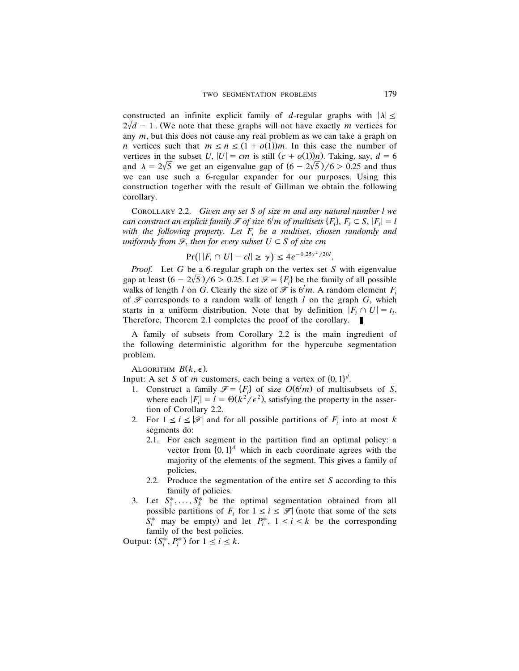constructed an infinite explicit family of *d*-regular graphs with  $|\lambda| \le$  $2\sqrt{d} - 1$ . (We note that these graphs will not have exactly *m* vertices for any *m*, but this does not cause any real problem as we can take a graph on *n* vertices such that  $m \le n \le (1 + o(1))m$ . In this case the number of vertices in the subset *U*,  $|U| = cm$  is still  $(c + o(1))n$ . Taking, say,  $d = 6$ . and  $\lambda = 2\sqrt{5}$  we get an eigenvalue gap of  $(6 - 2\sqrt{5})/6 > 0.25$  and thus we can use such a 6-regular expander for our purposes. Using this construction together with the result of Gillman we obtain the following corollary.

COROLLARY 2.2. *Given any set S of size m and any natural number l we can construct an explicit family*  $\mathscr{F}$  *of size* 6<sup>*l</sup>m of multisets* { $F$ <sub>*i</sub>*},  $F$ <sub>*i*</sub>  $\subset$  *S*, | $F$ <sub>*i*</sub>|  $=$  *l*</sup></sub> *with the following property*. *Let F<sup>i</sup> be a multiset*, *chosen randomly and uniformly from*  $\mathcal{F}$ *, then for every subset*  $U \subset S$  *of size cm* 

$$
Pr(||F_i \cap U| - cl| \ge \gamma) \le 4e^{-0.25\gamma^2/20l}.
$$

*Proof.* Let *G* be a 6-regular graph on the vertex set *S* with eigenvalue gap at least  $(6 - 2\sqrt{5})/6 > 0.25$ . Let  $\mathcal{F} = \{F_i\}$  be the family of all possible walks of length *l* on *G*. Clearly the size of  $\mathcal{F}$  is  $6^l m$ . A random element  $F_i$ of  $\mathcal F$  corresponds to a random walk of length  $l$  on the graph  $G$ , which starts in a uniform distribution. Note that by definition  $|F_i \cap U| = t_i$ . Therefore, Theorem 2.1 completes the proof of the corollary.

A family of subsets from Corollary 2.2 is the main ingredient of the following deterministic algorithm for the hypercube segmentation problem.

ALGORITHM  $B(k, \epsilon)$ .

Input: A set *S* of *m* customers, each being a vertex of  $\{0, 1\}^d$ .

- 1. Construct a family  $\mathcal{F} = \{F_i\}$  of size  $O(6^l m)$  of multisubsets of *S*, where each  $|F_i| = l = \Theta(k^2/\epsilon^2)$ , satisfying the property in the assertion of Corollary 2.2.
- 2. For  $1 \le i \le |\mathcal{F}|$  and for all possible partitions of  $F_i$  into at most k segments do:
	- 2.1. For each segment in the partition find an optimal policy: a vector from  $\{0, 1\}^d$  which in each coordinate agrees with the majority of the elements of the segment. This gives a family of policies.
	- 2.2. Produce the segmentation of the entire set *S* according to this family of policies.
- 3. Let  $S_1^*, \ldots, S_k^*$  be the optimal segmentation obtained from all possible partitions of  $F_i$  for  $1 \le i \le |\mathcal{F}|$  (note that some of the sets  $S_i^*$  may be empty) and let  $P_i^*$ ,  $1 \le i \le k$  be the corresponding family of the best policies.

Output:  $(S_i^*, P_i^*)$  for  $1 \le i \le k$ .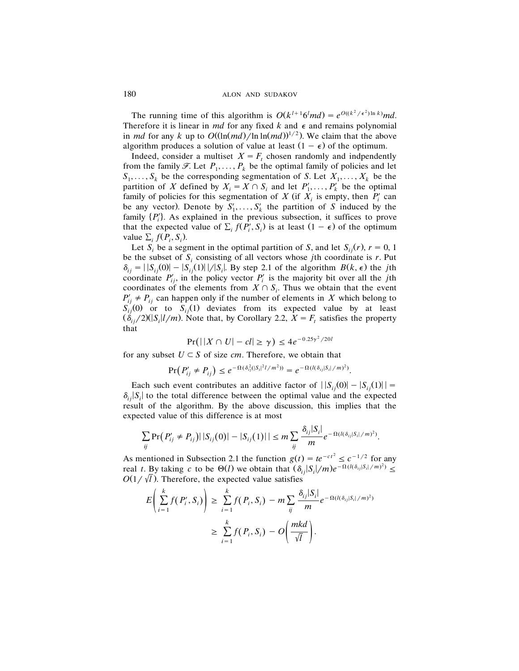180 ALON AND SUDAKOV

The running time of this algorithm is  $O(k^{l+1}6^{l}md) = e^{O((k^{2}/\epsilon^{2})\ln k)}md$ . Therefore it is linear in *md* for any fixed  $k$  and  $\epsilon$  and remains polynomial in *md* for any *k* up to  $O((\ln(md)/\ln \ln(md))^{1/2})$ . We claim that the above algorithm produces a solution of value at least  $(1 - \epsilon)$  of the optimum.

Indeed, consider a multiset  $X = F_t$  chosen randomly and indpendently from the family  $\mathcal{F}$ . Let  $P_1, \ldots, P_k$  be the optimal family of policies and let  $S_1, \ldots, S_k$  be the corresponding segmentation of *S*. Let  $X_1, \ldots, X_k$  be the partition of *X* defined by  $X_i = X \cap S_i$  and let  $P'_1, \ldots, P'_k$  be the optimal family of policies for this segmentation of *X* (if  $X_i$  is empty, then  $P_i'$  can be any vector). Denote by  $S'_1, \ldots, S'_k$  the partition of *S* induced by the family  $\{P_i'\}$ . As explained in the previous subsection, it suffices to prove that the expected value of  $\Sigma_i f(P_i', S_i)$  is at least  $(1 - \epsilon)$  of the optimum value  $\Sigma_i f(P_i, S_i)$ .

Let *S<sub>i</sub>* be a segment in the optimal partition of *S*, and let  $S_{i,i}(r)$ ,  $r = 0, 1$ be the subset of  $S_i$  consisting of all vectors whose *j*th coordinate is *r*. Put  $\delta_{ij} = |S_{ij}(0)| - |S_{ij}(1)||/|S_i|$ . By step 2.1 of the algorithm  $B(k, \epsilon)$  the *j*th coordinate  $P'_{ij}$ , in the policy vector  $P'_i$  is the majority bit over all the *j*th coordinates of the elements from  $X \cap S_i$ . Thus we obtain that the event  $P'_{ij} \neq P_{ij}$  can happen only if the number of elements in *X* which belong to  $S_{ij}^{'}(0)$  or to  $S_{ij}(1)$  deviates from its expected value by at least  $(\delta_{ij}/2)(|S_i|/m)$ . Note that, by Corollary 2.2,  $X = F_t$  satisfies the property that

$$
Pr(||X \cap U| - cl| \ge \gamma) \le 4e^{-0.25\gamma^2/20l}
$$

for any subset  $U \subset S$  of size *cm*. Therefore, we obtain that

$$
\Pr(P'_{ij} \neq P_{ij}) \leq e^{-\Omega(\delta_{ij}^2(|S_i|^2 l/m^2))} = e^{-\Omega(l(\delta_{ij}|S_i|/m)^2)}.
$$

Each such event contributes an additive factor of  $||S_{ij}(0) - |S_{ij}(1)||$  =  $\delta_{ij}$  *S<sub>i</sub>* is to the total difference between the optimal value and the expected result of the algorithm. By the above discussion, this implies that the expected value of this difference is at most

$$
\sum_{ij} \Pr\big(P'_{ij} \neq P_{ij}\big) | |S_{ij}(0)| - |S_{ij}(1)|| \leq m \sum_{ij} \frac{\delta_{ij} |S_i|}{m} e^{-\Omega(l(\delta_{ij}|S_i|/m)^2)}.
$$

As mentioned in Subsection 2.1 the function  $g(t) = te^{-ct^2} \leq c^{-1/2}$  for any real *t*. By taking *c* to be  $\Theta(l)$  we obtain that  $(\delta_{ij}|S_i|/m)e^{-\Omega(l(\delta_{ij}|S_i|/m)^2)} \le$  $O(1/\sqrt{l})$ . Therefore, the expected value satisfies

$$
E\left(\sum_{i=1}^{k} f(P'_i, S_i)\right) \geq \sum_{i=1}^{k} f(P_i, S_i) - m \sum_{ij} \frac{\delta_{ij} |S_i|}{m} e^{-\Omega(l(\delta_{ij}|S_i|/m)^2)}
$$
  

$$
\geq \sum_{i=1}^{k} f(P_i, S_i) - O\left(\frac{mkd}{\sqrt{l}}\right).
$$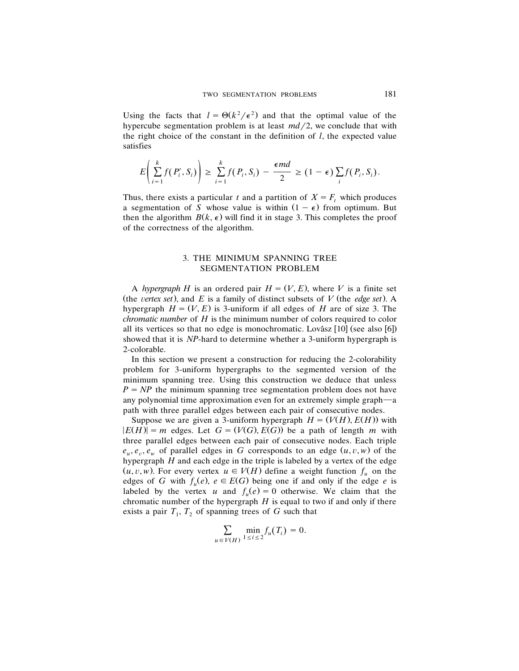Using the facts that  $l = \Theta(k^2/\epsilon^2)$  and that the optimal value of the hypercube segmentation problem is at least  $md/2$ , we conclude that with the right choice of the constant in the definition of *l*, the expected value satisfies

$$
E\left(\sum_{i=1}^k f(P'_i, S_i)\right) \geq \sum_{i=1}^k f(P_i, S_i) - \frac{\epsilon md}{2} \geq (1-\epsilon) \sum_i f(P_i, S_i).
$$

Thus, there exists a particular *t* and a partition of  $X = F_t$  which produces a segmentation of *S* whose value is within  $(1 - \epsilon)$  from optimum. But then the algorithm  $B(k, \epsilon)$  will find it in stage 3. This completes the proof of the correctness of the algorithm.

## 3. THE MINIMUM SPANNING TREE SEGMENTATION PROBLEM

A *hypergraph H* is an ordered pair  $H = (V, E)$ , where *V* is a finite set (the *vertex set*), and  $E$  is a family of distinct subsets of  $V$  (the *edge set*). A hypergraph  $H = (V, E)$  is 3-uniform if all edges of *H* are of size 3. The *chromatic number* of *H* is the minimum number of colors required to color all its vertices so that no edge is monochromatic. Lovász  $[10]$  (see also  $[6]$ ) showed that it is *NP*-hard to determine whether a 3-uniform hypergraph is 2-colorable.

In this section we present a construction for reducing the 2-colorability problem for 3-uniform hypergraphs to the segmented version of the minimum spanning tree. Using this construction we deduce that unless  $P = NP$  the minimum spanning tree segmentation problem does not have any polynomial time approximation even for an extremely simple graph—a path with three parallel edges between each pair of consecutive nodes.

Suppose we are given a 3-uniform hypergraph  $H = (V(H), E(H))$  with  $|E(H)| = m$  edges. Let  $G = (V(G), E(G))$  be a path of length *m* with three parallel edges between each pair of consecutive nodes. Each triple  $e_u, e_v, e_w$  of parallel edges in *G* corresponds to an edge  $(u, v, w)$  of the hypergraph *H* and each edge in the triple is labeled by a vertex of the edge  $(u, v, w)$ . For every vertex  $u \in V(H)$  define a weight function  $f_u$  on the edges of *G* with  $f_u(e)$ ,  $e \in E(G)$  being one if and only if the edge *e* is labeled by the vertex *u* and  $f_u(e) = 0$  otherwise. We claim that the chromatic number of the hypergraph *H* is equal to two if and only if there exists a pair  $T_1$ ,  $T_2$  of spanning trees of G such that

$$
\sum_{u \in V(H)} \min_{1 \le i \le 2} f_u(T_i) = 0.
$$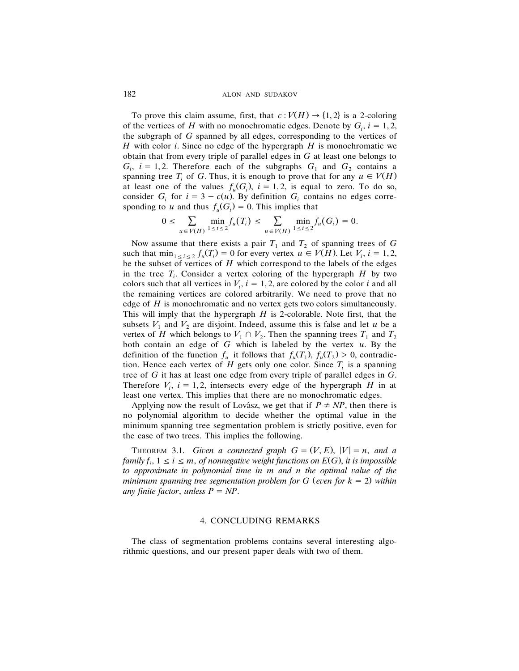To prove this claim assume, first, that  $c: V(H) \rightarrow \{1, 2\}$  is a 2-coloring of the vertices of *H* with no monochromatic edges. Denote by  $G_i$ ,  $i = 1, 2$ , the subgraph of *G* spanned by all edges, corresponding to the vertices of *H* with color *i*. Since no edge of the hypergraph *H* is monochromatic we obtain that from every triple of parallel edges in *G* at least one belongs to  $G_i$ ,  $i = 1, 2$ . Therefore each of the subgraphs  $G_1$  and  $G_2$  contains a spanning tree  $T_i$  of *G*. Thus, it is enough to prove that for any  $u \in V(H)$ at least one of the values  $f_u(G_i)$ ,  $i = 1, 2$ , is equal to zero. To do so, consider  $G_i$  for  $i = 3 - c(u)$ . By definition  $G_i$  contains no edges corresponding to *u* and thus  $f_u(G_i) = 0$ . This implies that

$$
0 \leq \sum_{u \in V(H)} \min_{1 \leq i \leq 2} f_u(T_i) \leq \sum_{u \in V(H)} \min_{1 \leq i \leq 2} f_u(G_i) = 0.
$$

Now assume that there exists a pair  $T_1$  and  $T_2$  of spanning trees of G such that  $\min_{1 \le i \le 2} f_u(T_i) = 0$  for every vertex  $u \in V(H)$ . Let  $V_i$ ,  $i = 1, 2$ , be the subset of vertices of *H* which correspond to the labels of the edges in the tree  $T_i$ . Consider a vertex coloring of the hypergraph  $H$  by two colors such that all vertices in  $V_i$ ,  $i = 1, 2$ , are colored by the color *i* and all the remaining vertices are colored arbitrarily. We need to prove that no edge of *H* is monochromatic and no vertex gets two colors simultaneously. This will imply that the hypergraph *H* is 2-colorable. Note first, that the subsets  $V_1$  and  $V_2$  are disjoint. Indeed, assume this is false and let *u* be a vertex of *H* which belongs to  $V_1 \cap V_2$ . Then the spanning trees  $T_1$  and  $T_2$ both contain an edge of *G* which is labeled by the vertex *u*. By the definition of the function  $f_u$  it follows that  $f_u(T_1)$ ,  $f_u(T_2) > 0$ , contradiction. Hence each vertex of  $H$  gets only one color. Since  $T_i$  is a spanning tree of *G* it has at least one edge from every triple of parallel edges in *G*. Therefore  $V_i$ ,  $i = 1, 2$ , intersects every edge of the hypergraph *H* in at least one vertex. This implies that there are no monochromatic edges.

Applying now the result of Lovász, we get that if  $P \neq NP$ , then there is no polynomial algorithm to decide whether the optimal value in the minimum spanning tree segmentation problem is strictly positive, even for the case of two trees. This implies the following.

**THEOREM** 3.1. *Given a connected graph*  $G = (V, E)$ ,  $|V| = n$ , and a *family*  $f_i$ ,  $1 \le i \le m$ , *of nonnegative weight functions on*  $E(G)$ , *it is impossible to approximate in polynomial time in m and n the optimal* ¨*alue of the minimum spanning tree segmentation problem* for *G* (*even* for  $k = 2$ ) *within any finite factor*, *unless*  $P = NP$ .

## 4. CONCLUDING REMARKS

The class of segmentation problems contains several interesting algorithmic questions, and our present paper deals with two of them.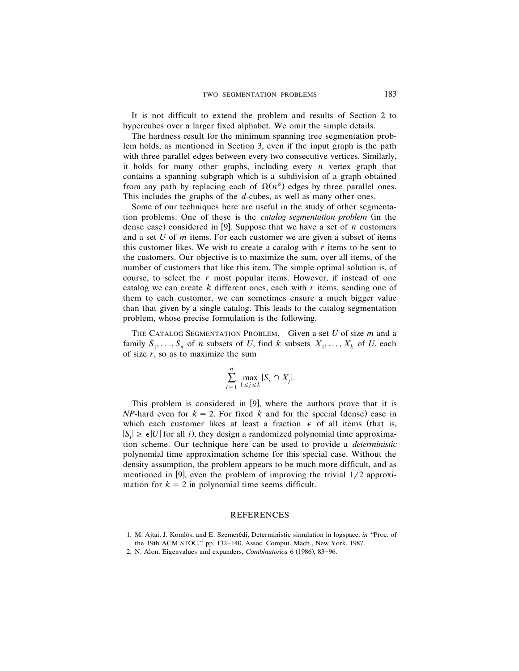It is not difficult to extend the problem and results of Section 2 to hypercubes over a larger fixed alphabet. We omit the simple details.

The hardness result for the minimum spanning tree segmentation problem holds, as mentioned in Section 3, even if the input graph is the path with three parallel edges between every two consecutive vertices. Similarly, it holds for many other graphs, including every *n* vertex graph that contains a spanning subgraph which is a subdivision of a graph obtained from any path by replacing each of  $\Omega(n^{\delta})$  edges by three parallel ones. This includes the graphs of the *d*-cubes, as well as many other ones.

Some of our techniques here are useful in the study of other segmentation problems. One of these is the *catalog segmentation problem* (in the dense case) considered in [9]. Suppose that we have a set of  $n$  customers and a set *U* of *m* items. For each customer we are given a subset of items this customer likes. We wish to create a catalog with  $r$  items to be sent to the customers. Our objective is to maximize the sum, over all items, of the number of customers that like this item. The simple optimal solution is, of course, to select the *r* most popular items. However, if instead of one catalog we can create *k* different ones, each with *r* items, sending one of them to each customer, we can sometimes ensure a much bigger value than that given by a single catalog. This leads to the catalog segmentation problem, whose precise formulation is the following.

THE CATALOG SEGMENTATION PROBLEM. Given a set *U* of size *m* and a family  $S_1, \ldots, S_n$  of *n* subsets of *U*, find *k* subsets  $X_1, \ldots, X_k$  of *U*, each of size  $r$ , so as to maximize the sum

$$
\sum_{i=1}^{n} \max_{1 \le j \le k} |S_i \cap X_j|.
$$

This problem is considered in  $[9]$ , where the authors prove that it is *NP*-hard even for  $k = 2$ . For fixed *k* and for the special (dense) case in which each customer likes at least a fraction  $\epsilon$  of all items (that is,  $|S_i| \geq \epsilon |U|$  for all *i*), they design a randomized polynomial time approximation scheme. Our technique here can be used to provide a *deterministic* polynomial time approximation scheme for this special case. Without the density assumption, the problem appears to be much more difficult, and as mentioned in [9], even the problem of improving the trivial  $1/2$  approximation for  $k = 2$  in polynomial time seems difficult.

## REFERENCES

<sup>1.</sup> M. Ajtai, J. Komlós, and E. Szemerédi, Deterministic simulation in logspace, *in* "Proc. of the 19th ACM STOC," pp. 132-140, Assoc. Comput. Mach., New York, 1987.

<sup>2.</sup> N. Alon, Eigenvalues and expanders, *Combinatorica* 6 (1986), 83-96.